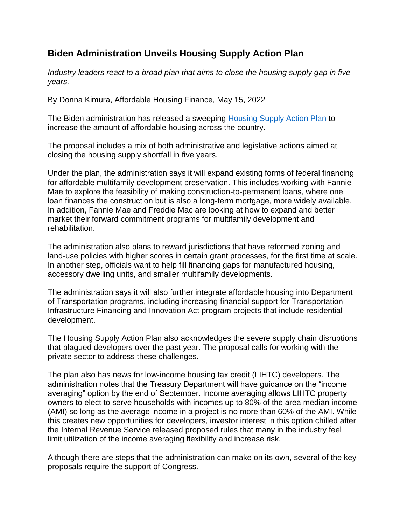## **Biden Administration Unveils Housing Supply Action Plan**

*Industry leaders react to a broad plan that aims to close the housing supply gap in five years.*

By Donna Kimura, Affordable Housing Finance, May 15, 2022

The Biden administration has released a sweeping [Housing Supply Action Plan](https://www.whitehouse.gov/briefing-room/statements-releases/2022/05/16/president-biden-announces-new-actions-to-ease-the-burden-of-housing-costs/) to increase the amount of affordable housing across the country.

The proposal includes a mix of both administrative and legislative actions aimed at closing the housing supply shortfall in five years.

Under the plan, the administration says it will expand existing forms of federal financing for affordable multifamily development preservation. This includes working with Fannie Mae to explore the feasibility of making construction-to-permanent loans, where one loan finances the construction but is also a long-term mortgage, more widely available. In addition, Fannie Mae and Freddie Mac are looking at how to expand and better market their forward commitment programs for multifamily development and rehabilitation.

The administration also plans to reward jurisdictions that have reformed zoning and land-use policies with higher scores in certain grant processes, for the first time at scale. In another step, officials want to help fill financing gaps for manufactured housing, accessory dwelling units, and smaller multifamily developments.

The administration says it will also further integrate affordable housing into Department of Transportation programs, including increasing financial support for Transportation Infrastructure Financing and Innovation Act program projects that include residential development.

The Housing Supply Action Plan also acknowledges the severe supply chain disruptions that plagued developers over the past year. The proposal calls for working with the private sector to address these challenges.

The plan also has news for low-income housing tax credit (LIHTC) developers. The administration notes that the Treasury Department will have guidance on the "income averaging" option by the end of September. Income averaging allows LIHTC property owners to elect to serve households with incomes up to 80% of the area median income (AMI) so long as the average income in a project is no more than 60% of the AMI. While this creates new opportunities for developers, investor interest in this option chilled after the Internal Revenue Service released proposed rules that many in the industry feel limit utilization of the income averaging flexibility and increase risk.

Although there are steps that the administration can make on its own, several of the key proposals require the support of Congress.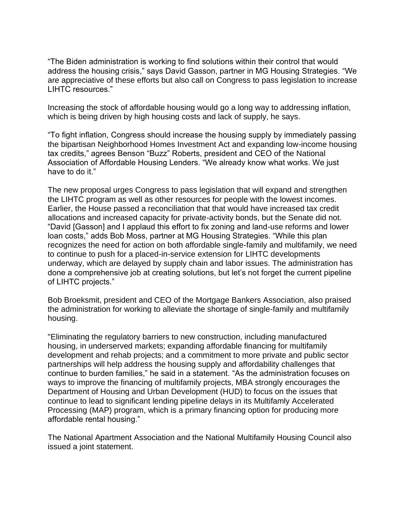"The Biden administration is working to find solutions within their control that would address the housing crisis," says David Gasson, partner in MG Housing Strategies. "We are appreciative of these efforts but also call on Congress to pass legislation to increase LIHTC resources."

Increasing the stock of affordable housing would go a long way to addressing inflation, which is being driven by high housing costs and lack of supply, he says.

"To fight inflation, Congress should increase the housing supply by immediately passing the bipartisan Neighborhood Homes Investment Act and expanding low-income housing tax credits," agrees Benson "Buzz" Roberts, president and CEO of the National Association of Affordable Housing Lenders. "We already know what works. We just have to do it."

The new proposal urges Congress to pass legislation that will expand and strengthen the LIHTC program as well as other resources for people with the lowest incomes. Earlier, the House passed a reconciliation that that would have increased tax credit allocations and increased capacity for private-activity bonds, but the Senate did not. "David [Gasson] and I applaud this effort to fix zoning and land-use reforms and lower loan costs," adds Bob Moss, partner at MG Housing Strategies. "While this plan recognizes the need for action on both affordable single-family and multifamily, we need to continue to push for a placed-in-service extension for LIHTC developments underway, which are delayed by supply chain and labor issues. The administration has done a comprehensive job at creating solutions, but let's not forget the current pipeline of LIHTC projects."

Bob Broeksmit, president and CEO of the Mortgage Bankers Association, also praised the administration for working to alleviate the shortage of single-family and multifamily housing.

"Eliminating the regulatory barriers to new construction, including manufactured housing, in underserved markets; expanding affordable financing for multifamily development and rehab projects; and a commitment to more private and public sector partnerships will help address the housing supply and affordability challenges that continue to burden families," he said in a statement. "As the administration focuses on ways to improve the financing of multifamily projects, MBA strongly encourages the Department of Housing and Urban Development (HUD) to focus on the issues that continue to lead to significant lending pipeline delays in its Multifamly Accelerated Processing (MAP) program, which is a primary financing option for producing more affordable rental housing."

The National Apartment Association and the National Multifamily Housing Council also issued a joint statement.